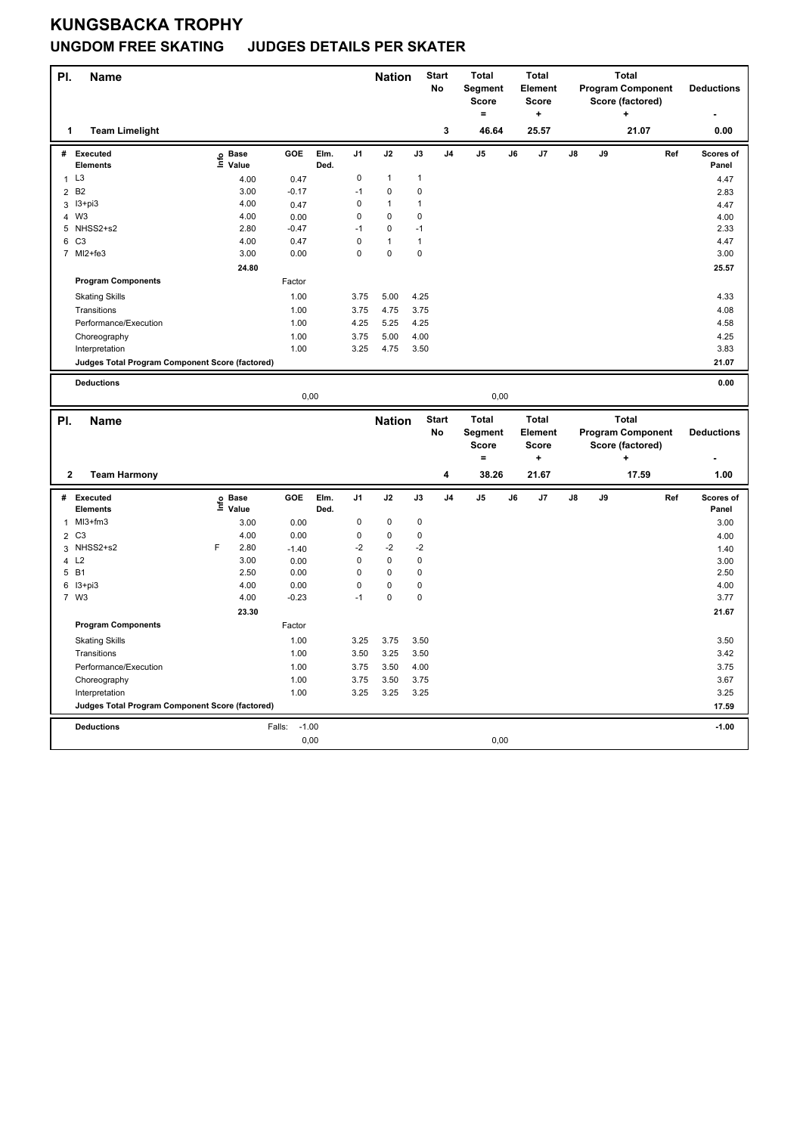## **KUNGSBACKA TROPHY UNGDOM FREE SKATING JUDGES DETAILS PER SKATER**

| PI.            | <b>Name</b>                                     |   |                           |                           |              |                | <b>Nation</b> |             | <b>Start</b>            | <b>Total</b>            |    | <b>Total</b>                   |    |    | <b>Total</b>                                 |     |                    |
|----------------|-------------------------------------------------|---|---------------------------|---------------------------|--------------|----------------|---------------|-------------|-------------------------|-------------------------|----|--------------------------------|----|----|----------------------------------------------|-----|--------------------|
|                |                                                 |   |                           |                           |              |                |               |             | No                      | Segment<br><b>Score</b> |    | <b>Element</b><br><b>Score</b> |    |    | <b>Program Component</b><br>Score (factored) |     | <b>Deductions</b>  |
|                |                                                 |   |                           |                           |              |                |               |             |                         | $=$                     |    | ٠                              |    |    | ٠                                            |     |                    |
| 1              | <b>Team Limelight</b>                           |   |                           |                           |              |                |               |             | 3                       | 46.64                   |    | 25.57                          |    |    | 21.07                                        |     | 0.00               |
| #              | <b>Executed</b><br>Elements                     |   | e Base<br>E Value         | <b>GOE</b>                | Elm.<br>Ded. | J1             | J2            | J3          | J <sub>4</sub>          | J5                      | J6 | J7                             | J8 | J9 |                                              | Ref | Scores of<br>Panel |
| $\mathbf{1}$   | L <sub>3</sub>                                  |   | 4.00                      | 0.47                      |              | $\mathbf 0$    | $\mathbf{1}$  | 1           |                         |                         |    |                                |    |    |                                              |     | 4.47               |
| $\overline{2}$ | B <sub>2</sub>                                  |   | 3.00                      | $-0.17$                   |              | $-1$           | $\Omega$      | 0           |                         |                         |    |                                |    |    |                                              |     | 2.83               |
| 3              | I3+pi3                                          |   | 4.00                      | 0.47                      |              | 0              | $\mathbf{1}$  | 1           |                         |                         |    |                                |    |    |                                              |     | 4.47               |
| 4              | W <sub>3</sub>                                  |   | 4.00                      | 0.00                      |              | 0              | 0             | 0           |                         |                         |    |                                |    |    |                                              |     | 4.00               |
|                | 5 NHSS2+s2                                      |   | 2.80                      | $-0.47$                   |              | $-1$           | 0             | $-1$        |                         |                         |    |                                |    |    |                                              |     | 2.33               |
|                | 6 C3                                            |   | 4.00                      | 0.47                      |              | 0              | 1             | 1           |                         |                         |    |                                |    |    |                                              |     | 4.47               |
| $\overline{7}$ | MI2+fe3                                         |   | 3.00                      | 0.00                      |              | 0              | 0             | 0           |                         |                         |    |                                |    |    |                                              |     | 3.00               |
|                |                                                 |   | 24.80                     |                           |              |                |               |             |                         |                         |    |                                |    |    |                                              |     | 25.57              |
|                | <b>Program Components</b>                       |   |                           | Factor                    |              |                |               |             |                         |                         |    |                                |    |    |                                              |     |                    |
|                | <b>Skating Skills</b>                           |   |                           | 1.00                      |              | 3.75           | 5.00          | 4.25        |                         |                         |    |                                |    |    |                                              |     | 4.33               |
|                | Transitions                                     |   |                           | 1.00                      |              | 3.75           | 4.75          | 3.75        |                         |                         |    |                                |    |    |                                              |     | 4.08               |
|                | Performance/Execution                           |   |                           | 1.00                      |              | 4.25           | 5.25          | 4.25        |                         |                         |    |                                |    |    |                                              |     | 4.58               |
|                | Choreography                                    |   |                           | 1.00                      |              | 3.75           | 5.00          | 4.00        |                         |                         |    |                                |    |    |                                              |     | 4.25               |
|                | Interpretation                                  |   |                           | 1.00                      |              | 3.25           | 4.75          | 3.50        |                         |                         |    |                                |    |    |                                              |     | 3.83               |
|                | Judges Total Program Component Score (factored) |   |                           |                           |              |                |               |             |                         |                         |    |                                |    |    |                                              |     | 21.07              |
|                |                                                 |   |                           |                           |              |                |               |             |                         |                         |    |                                |    |    |                                              |     |                    |
|                | <b>Deductions</b>                               |   |                           |                           |              |                |               |             |                         |                         |    |                                |    |    |                                              |     | 0.00               |
|                |                                                 |   |                           | 0,00                      |              |                |               |             |                         | 0,00                    |    |                                |    |    |                                              |     |                    |
|                |                                                 |   |                           |                           |              |                |               |             |                         |                         |    |                                |    |    |                                              |     |                    |
|                |                                                 |   |                           |                           |              |                |               |             |                         |                         |    |                                |    |    |                                              |     |                    |
| PI.            | <b>Name</b>                                     |   |                           |                           |              |                | <b>Nation</b> |             | <b>Start</b><br>No      | <b>Total</b><br>Segment |    | <b>Total</b><br>Element        |    |    | <b>Total</b><br><b>Program Component</b>     |     | <b>Deductions</b>  |
|                |                                                 |   |                           |                           |              |                |               |             |                         | <b>Score</b>            |    | <b>Score</b>                   |    |    | Score (factored)                             |     |                    |
|                |                                                 |   |                           |                           |              |                |               |             |                         | $\equiv$                |    | ÷                              |    |    | ٠                                            |     |                    |
| $\mathbf 2$    | <b>Team Harmony</b>                             |   |                           |                           |              |                |               |             | $\overline{\mathbf{4}}$ | 38.26                   |    | 21.67                          |    |    | 17.59                                        |     | 1.00               |
| #              |                                                 |   |                           |                           |              |                |               |             |                         |                         |    |                                |    |    |                                              |     |                    |
|                | Executed<br>Elements                            |   |                           | GOE                       | Elm.<br>Ded. | J <sub>1</sub> | J2            | J3          | J <sub>4</sub>          | J5                      | J6 | J7                             | J8 | J9 |                                              | Ref | Scores of<br>Panel |
| 1              | $Ml3+fm3$                                       |   | e Base<br>⊑ Value<br>3.00 | 0.00                      |              | 0              | $\mathbf 0$   | $\mathbf 0$ |                         |                         |    |                                |    |    |                                              |     | 3.00               |
|                | 2 C <sub>3</sub>                                |   | 4.00                      | 0.00                      |              | 0              | $\pmb{0}$     | $\pmb{0}$   |                         |                         |    |                                |    |    |                                              |     | 4.00               |
| 3              | NHSS2+s2                                        | F | 2.80                      | $-1.40$                   |              | $-2$           | $-2$          | $-2$        |                         |                         |    |                                |    |    |                                              |     | 1.40               |
| $\overline{4}$ | L2                                              |   | 3.00                      | 0.00                      |              | 0              | 0             | $\mathbf 0$ |                         |                         |    |                                |    |    |                                              |     | 3.00               |
| 5              | <b>B1</b>                                       |   | 2.50                      | 0.00                      |              | 0              | $\pmb{0}$     | 0           |                         |                         |    |                                |    |    |                                              |     | 2.50               |
|                | 6 13+pi3                                        |   | 4.00                      | 0.00                      |              | 0              | 0             | 0           |                         |                         |    |                                |    |    |                                              |     | 4.00               |
|                | 7 W3                                            |   | 4.00                      | $-0.23$                   |              | $-1$           | $\mathbf 0$   | $\mathbf 0$ |                         |                         |    |                                |    |    |                                              |     | 3.77               |
|                |                                                 |   | 23.30                     |                           |              |                |               |             |                         |                         |    |                                |    |    |                                              |     | 21.67              |
|                | <b>Program Components</b>                       |   |                           | Factor                    |              |                |               |             |                         |                         |    |                                |    |    |                                              |     |                    |
|                | <b>Skating Skills</b>                           |   |                           | 1.00                      |              | 3.25           | 3.75          | 3.50        |                         |                         |    |                                |    |    |                                              |     | 3.50               |
|                | Transitions                                     |   |                           | 1.00                      |              | 3.50           | 3.25          | 3.50        |                         |                         |    |                                |    |    |                                              |     | 3.42               |
|                | Performance/Execution                           |   |                           | 1.00                      |              | 3.75           | 3.50          | 4.00        |                         |                         |    |                                |    |    |                                              |     | 3.75               |
|                | Choreography                                    |   |                           | 1.00                      |              | 3.75           | 3.50          | 3.75        |                         |                         |    |                                |    |    |                                              |     | 3.67               |
|                | Interpretation                                  |   |                           | 1.00                      |              | 3.25           | 3.25          | 3.25        |                         |                         |    |                                |    |    |                                              |     | 3.25               |
|                | Judges Total Program Component Score (factored) |   |                           |                           |              |                |               |             |                         |                         |    |                                |    |    |                                              |     | 17.59              |
|                |                                                 |   |                           |                           |              |                |               |             |                         |                         |    |                                |    |    |                                              |     |                    |
|                | <b>Deductions</b>                               |   |                           | $-1.00$<br>Falls:<br>0,00 |              |                |               |             |                         | 0,00                    |    |                                |    |    |                                              |     | $-1.00$            |